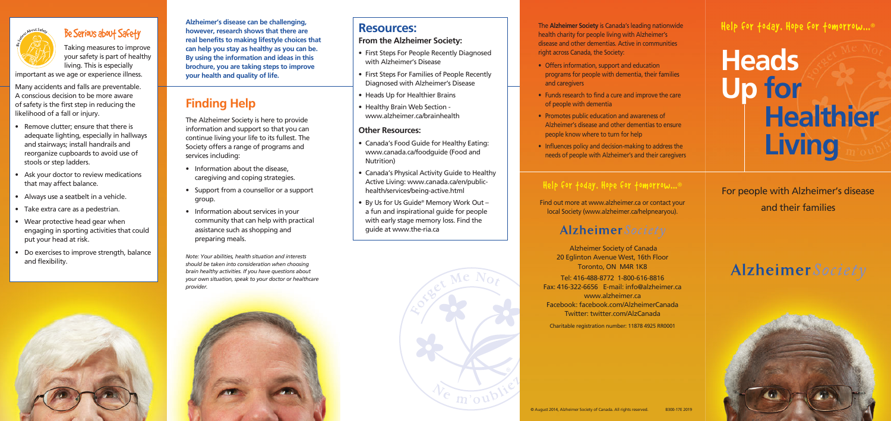# **Heads Up for Healthier Living**

**Alzheimer's disease can be challenging, however, research shows that there are real benefits to making lifestyle choices that can help you stay as healthy as you can be. By using the information and ideas in this brochure, you are taking steps to improve your health and quality of life.** 

## **Finding Help**

The Alzheimer Society is here to provide information and support so that you can continue living your life to its fullest. The Society offers a range of programs and services including:

- Information about the disease, caregiving and coping strategies.
- Support from a counsellor or a support group.
- Information about services in your community that can help with practical assistance such as shopping and preparing meals.

*Note: Your abilities, health situation and interests should be taken into consideration when choosing brain healthy activities. If you have questions about your own situation, speak to your doctor or healthcare provider.*



## Help for today. Hope for tomorrow... ®

## For people with Alzheimer's disease and their families

## Alzheimer Society

The **Alzheimer Society** is Canada's leading nationwide health charity for people living with Alzheimer's disease and other dementias. Active in communities right across Canada, the Society:

- Offers information, support and education programs for people with dementia, their families and caregivers
- Funds research to find a cure and improve the care of people with dementia
- Promotes public education and awareness of Alzheimer's disease and other dementias to ensure people know where to turn for help
- Influences policy and decision-making to address the needs of people with Alzheimer's and their caregivers

## Help for today. Hope for tomorrow... ®

Find out more at www.alzheimer.ca or contact your local Society (www.alzheimer.ca/helpnearyou).

## Alzheimer Society

 Alzheimer Society of Canada 20 Eglinton Avenue West, 16th Floor Toronto, ON M4R 1K8 Tel: 416-488-8772 1-800-616-8816 Fax: 416-322-6656 E-mail: info@alzheimer.ca www.alzheimer.ca Facebook: facebook.com/AlzheimerCanada Twitter: twitter.com/AlzCanada

Charitable registration number: 11878 4925 RR0001

## **Resources:**

## **From the Alzheimer Society:**

- First Steps For People Recently Diagnosed with Alzheimer's Disease
- First Steps For Families of People Recently Diagnosed with Alzheimer's Disease
- Heads Up for Healthier Brains
- Healthy Brain Web Section www.alzheimer.ca/brainhealth

## **Other Resources:**

- Canada's Food Guide for Healthy Eating: www.canada.ca/foodguide (Food and Nutrition)
- Canada's Physical Activity Guide to Healthy Active Living: www.canada.ca/en/publichealth/services/being-active.html
- By Us for Us Guide© Memory Work Out a fun and inspirational guide for people with early stage memory loss. Find the guide at www.the-ria.ca





## Be Serious about Safety

Taking measures to improve your safety is part of healthy living. This is especially

important as we age or experience illness.

Many accidents and falls are preventable. A conscious decision to be more aware of safety is the first step in reducing the likelihood of a fall or injury.

- Remove clutter; ensure that there is adequate lighting, especially in hallways and stairways; install handrails and reorganize cupboards to avoid use of stools or step ladders.
- Ask your doctor to review medications that may affect balance.
- Always use a seatbelt in a vehicle.
- Take extra care as a pedestrian.
- Wear protective head gear when engaging in sporting activities that could put your head at risk.
- Do exercises to improve strength, balance and flexibility.